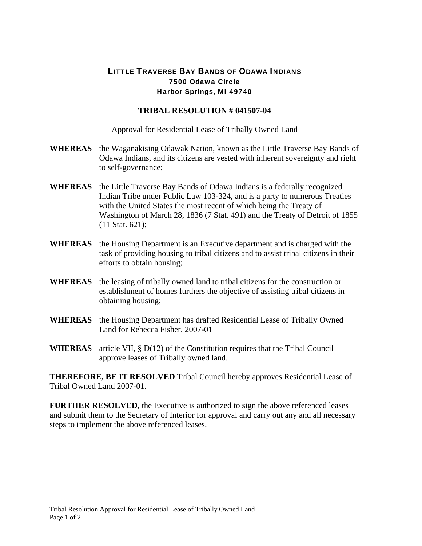## LITTLE TRAVERSE BAY BANDS OF ODAWA INDIANS 7500 Odawa Circle Harbor Springs, MI 49740

## **TRIBAL RESOLUTION # 041507-04**

Approval for Residential Lease of Tribally Owned Land

- **WHEREAS** the Waganakising Odawak Nation, known as the Little Traverse Bay Bands of Odawa Indians, and its citizens are vested with inherent sovereignty and right to self-governance;
- **WHEREAS** the Little Traverse Bay Bands of Odawa Indians is a federally recognized Indian Tribe under Public Law 103-324, and is a party to numerous Treaties with the United States the most recent of which being the Treaty of Washington of March 28, 1836 (7 Stat. 491) and the Treaty of Detroit of 1855 (11 Stat. 621);
- **WHEREAS** the Housing Department is an Executive department and is charged with the task of providing housing to tribal citizens and to assist tribal citizens in their efforts to obtain housing;
- **WHEREAS** the leasing of tribally owned land to tribal citizens for the construction or establishment of homes furthers the objective of assisting tribal citizens in obtaining housing;
- **WHEREAS** the Housing Department has drafted Residential Lease of Tribally Owned Land for Rebecca Fisher, 2007-01
- **WHEREAS** article VII, § D(12) of the Constitution requires that the Tribal Council approve leases of Tribally owned land.

**THEREFORE, BE IT RESOLVED** Tribal Council hereby approves Residential Lease of Tribal Owned Land 2007-01.

**FURTHER RESOLVED,** the Executive is authorized to sign the above referenced leases and submit them to the Secretary of Interior for approval and carry out any and all necessary steps to implement the above referenced leases.